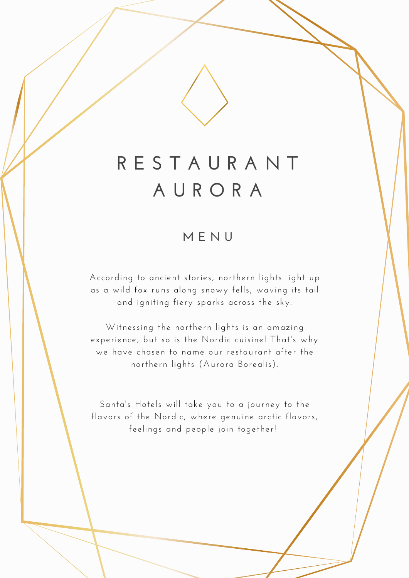# **R E S T A U R A N T A U R O R A**

## **M E N U**

According to ancient stories, northern lights light up as a wild fox runs along snowy fells, waving its tail and igniting fiery sparks across the sky.

Witnessing the northern lights is an amazing experience, but so is the Nordic cuisine! That's why we have chosen to name our restaurant after the northern lights (Aurora Borealis).

Santa's Hotels will take you to a journey to the flavors of the Nordic, where genuine arctic flavors, feelings and people join together!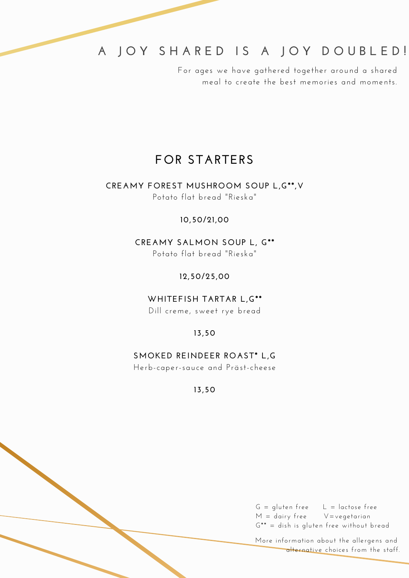# **A J O Y S H A R E D I S A J O Y D O U B L E D !**

For ages we have gathered together around a shared meal to create the best memories and moments.

### **FOR STARTERS**

#### **CREAMY FOREST MUSHROOM SOUP L,G\*\*,V** Potato flat bread "Rieska"

#### **10,50/21,00**

**CREAMY SALMON SOUP L, G\*\*** Potato flat bread "Rieska"

**12,50/25,00**

**WHITEFISH TARTAR L,G\*\*** Dill creme, sweet rye bread

**13,50**

#### **SMOKED REINDEER ROAST\* L,G**

Herb-caper-sauce and Präst-cheese

**13,50**

 $G =$  gluten free  $L =$  lactose free  $M =$  dairy free  $V =$ vegetarian G\*\* = dish is gluten free without bread

More information about the allergens and alternative choices from the staff.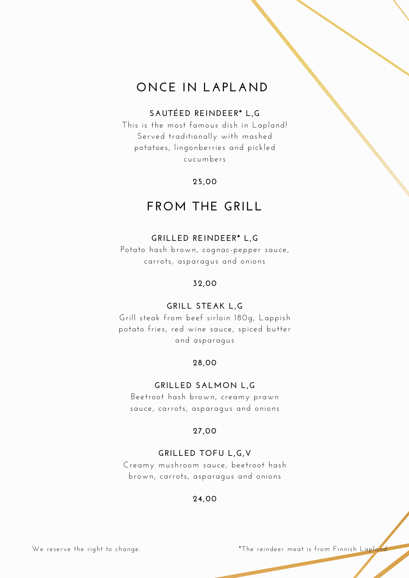# **ONCE IN LAPLAND**

#### **SAUTÉED REINDEER\* L,G**

This is the most famous dish in Lapland! Served traditionally with mashed potatoes, lingonberries and pickled cucumbers

#### **25,00**

# **FROM THE GRILL**

#### **GRILLED REINDEER\* L,G**

Potato hash brown, cognac-pepper sauce, carrots, asparagus and onions

#### **32,00**

#### **GRILL STEAK L,G**

Grill steak from beef sirloin 180g, Lappish potato fries, red wine sauce, spiced butter and asparagus

#### **28,00**

#### **GRILLED SALMON L,G**

Beetroot hash brown, creamy prawn sauce, carrots, asparagus and onions

#### **27,00**

#### **GRILLED TOFU L,G,V**

Creamy mushroom sauce, beetroot hash brown, carrots, asparagus and onions

#### **24,00**

We reserve the right to change.  $\blacksquare$  \*The reindeer meat is from Finnish Lapland